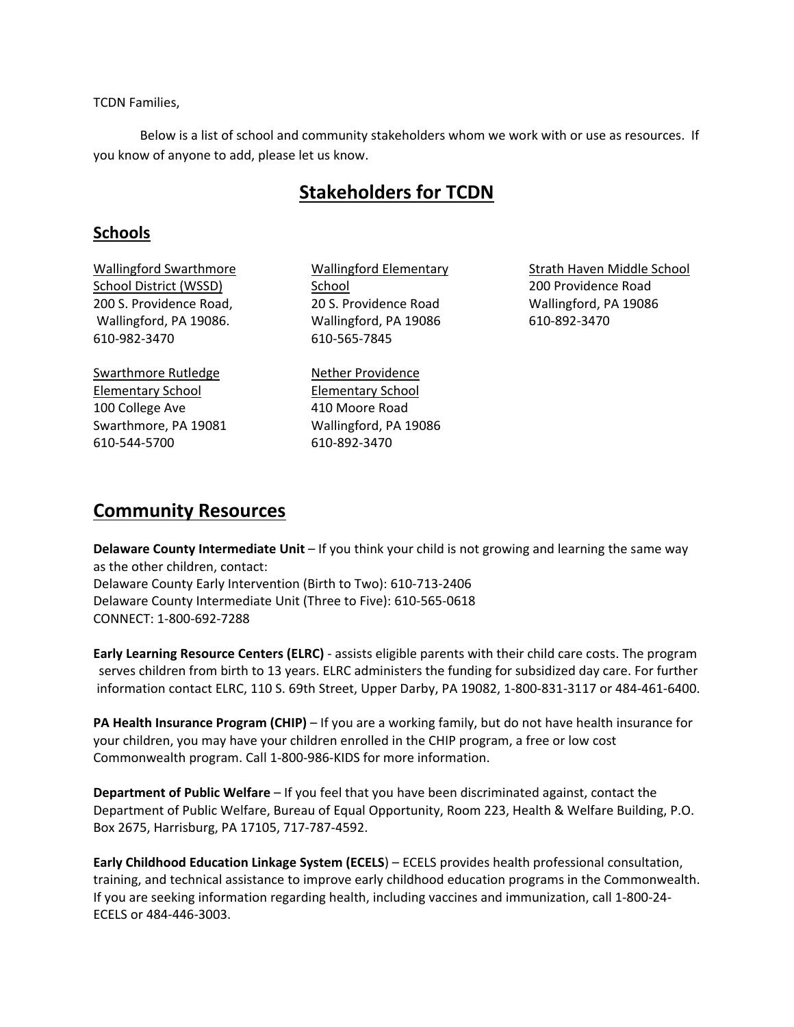TCDN Families,

Below is a list of school and community stakeholders whom we work with or use as resources. If you know of anyone to add, please let us know.

# **Stakeholders for TCDN**

# **Schools**

Wallingford Swarthmore School District (WSSD) 200 S. Providence Road, Wallingford, PA 19086. 610‐982‐3470

Swarthmore Rutledge Elementary School 100 College Ave Swarthmore, PA 19081 610‐544‐5700

Wallingford Elementary School 20 S. Providence Road Wallingford, PA 19086 610‐565‐7845

Nether Providence Elementary School 410 Moore Road Wallingford, PA 19086 610‐892‐3470

Strath Haven Middle School 200 Providence Road Wallingford, PA 19086 610‐892‐3470

# **Community Resources**

**Delaware County Intermediate Unit** – If you think your child is not growing and learning the same way as the other children, contact: Delaware County Early Intervention (Birth to Two): 610‐713‐2406 Delaware County Intermediate Unit (Three to Five): 610‐565‐0618 CONNECT: 1‐800‐692‐7288

**Early Learning Resource Centers (ELRC)** ‐ assists eligible parents with their child care costs. The program serves children from birth to 13 years. ELRC administers the funding for subsidized day care. For further information contact ELRC, 110 S. 69th Street, Upper Darby, PA 19082, 1‐800‐831‐3117 or 484‐461‐6400.

**PA Health Insurance Program (CHIP)** – If you are a working family, but do not have health insurance for your children, you may have your children enrolled in the CHIP program, a free or low cost Commonwealth program. Call 1‐800‐986‐KIDS for more information.

**Department of Public Welfare** – If you feel that you have been discriminated against, contact the Department of Public Welfare, Bureau of Equal Opportunity, Room 223, Health & Welfare Building, P.O. Box 2675, Harrisburg, PA 17105, 717‐787‐4592.

**Early Childhood Education Linkage System (ECELS**) – ECELS provides health professional consultation, training, and technical assistance to improve early childhood education programs in the Commonwealth. If you are seeking information regarding health, including vaccines and immunization, call 1‐800‐24‐ ECELS or 484‐446‐3003.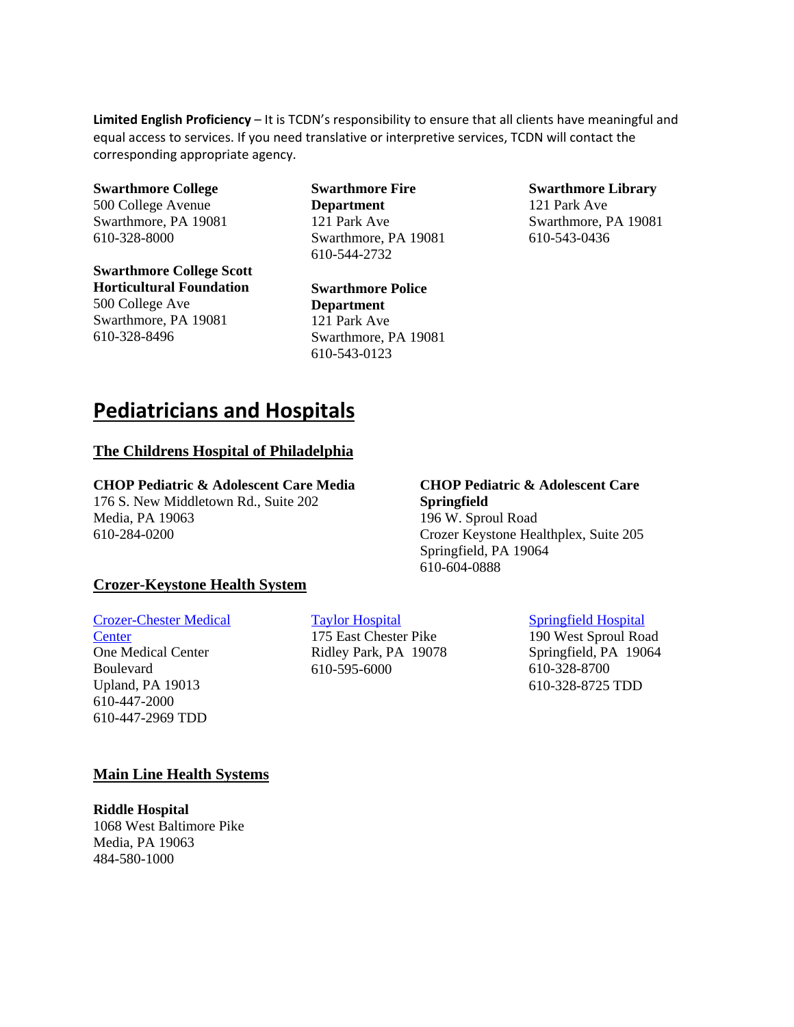**Limited English Proficiency** – It is TCDN's responsibility to ensure that all clients have meaningful and equal access to services. If you need translative or interpretive services, TCDN will contact the corresponding appropriate agency.

**Swarthmore College**  500 College Avenue Swarthmore, PA 19081 610-328-8000

**Swarthmore College Scott Horticultural Foundation**  500 College Ave Swarthmore, PA 19081 610-328-8496

**Swarthmore Fire Department**  121 Park Ave Swarthmore, PA 19081 610-544-2732

**Swarthmore Police Department**  121 Park Ave Swarthmore, PA 19081 610-543-0123

#### **Swarthmore Library**

121 Park Ave Swarthmore, PA 19081 610-543-0436

# **Pediatricians and Hospitals**

#### **The Childrens Hospital of Philadelphia**

#### **CHOP Pediatric & Adolescent Care Media**

176 S. New Middletown Rd., Suite 202 Media, PA 19063 610-284-0200

#### **CHOP Pediatric & Adolescent Care Springfield**

196 W. Sproul Road Crozer Keystone Healthplex, Suite 205 Springfield, PA 19064 610-604-0888

## **Crozer-Keystone Health System**

#### Crozer-Chester Medical

**Center** One Medical Center Boulevard Upland, PA 19013 610-447-2000 610-447-2969 TDD

## Taylor Hospital

175 East Chester Pike Ridley Park, PA 19078 610-595-6000

# Springfield Hospital

190 West Sproul Road Springfield, PA 19064 610-328-8700 610-328-8725 TDD

# **Main Line Health Systems**

**Riddle Hospital** 1068 West Baltimore Pike Media, PA 19063 484-580-1000